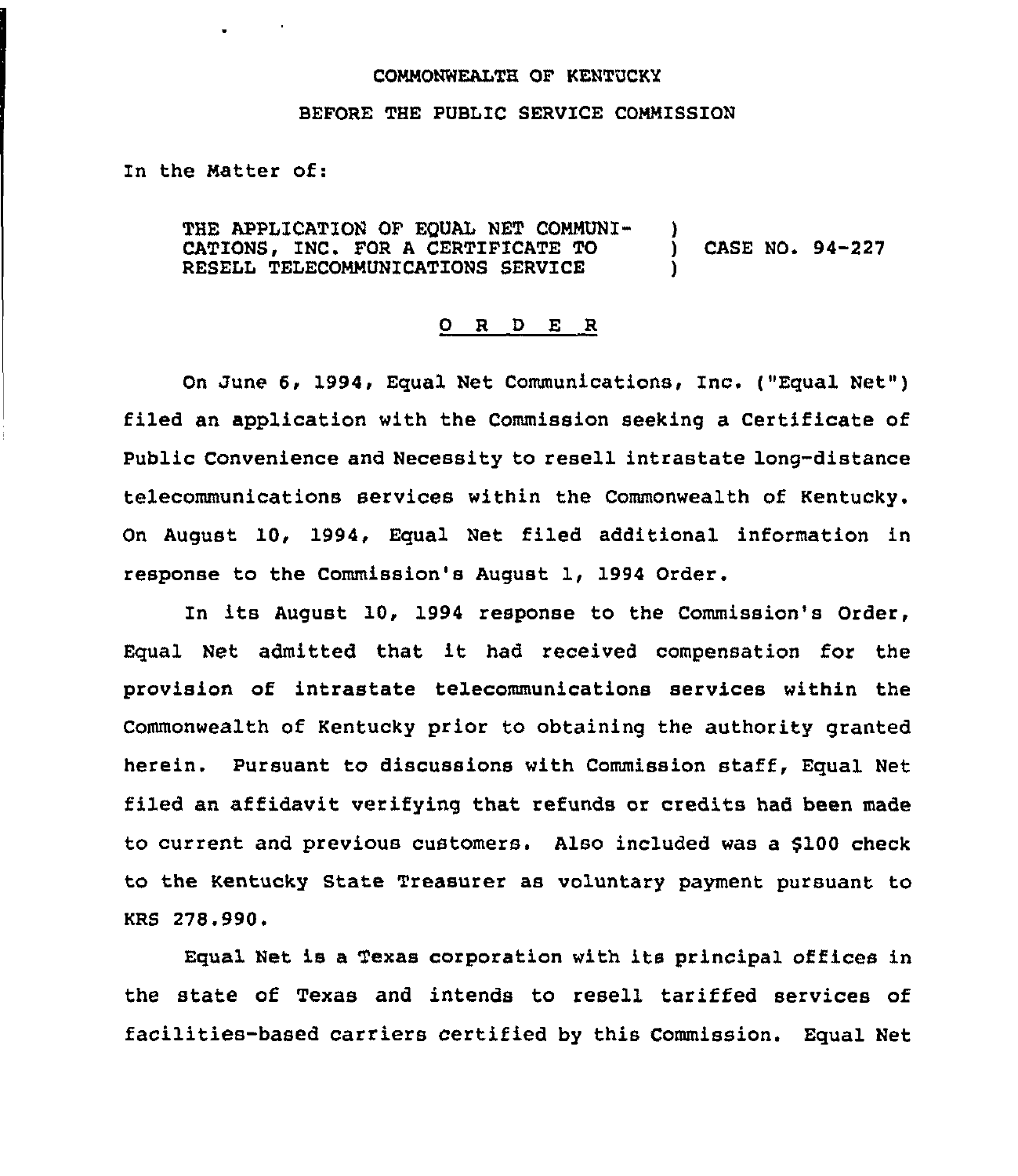## COMMONWEALTH OF KENTUCKY

## BEFORE THE PUBLIC SERVICE COMMISSION

In the Matter of:

 $\sim 100$ 

THE APPLICATION OF EQUAL NET COMMUNI-CATIONS, INC. FOR A CERTIFICATE TO RESELL TELECOMMUNICATIONS SERVICE ) ) CASE NO. 94-227 )

## 0 R <sup>D</sup> E R

On June 6, 1994, Equal Net Communications, Inc. ("Equal Net") filed an application with the Commission seeking a Certificate of Public Convenience and Necessity to resell intrastate long-distance telecommunications services within the Commonwealth of Kentucky. On August 10, 1994, Equal Net filed additional information in response to the Commission's August 1, 1994 Order.

In its August 10, 1994 response to the Commission's Order, Equal Net admitted that it had received compensation for the provision of intrastate telecommunications services within the Commonwealth of Kentucky prior to obtaining the authority granted herein. Pursuant to discussions with Commission staff, Equal Net filed an affidavit verifying that refunds or credits had been made to current and previous customers. Also included was a \$100 check to the Kentucky State Treasurer as voluntary payment pursuant to KRS 278.990.

Equal Net is a Texas corporation with its principal offices in the state of Texas and intends to resell tariffed services of facilities-based carriers certified by this Commission. Equal Net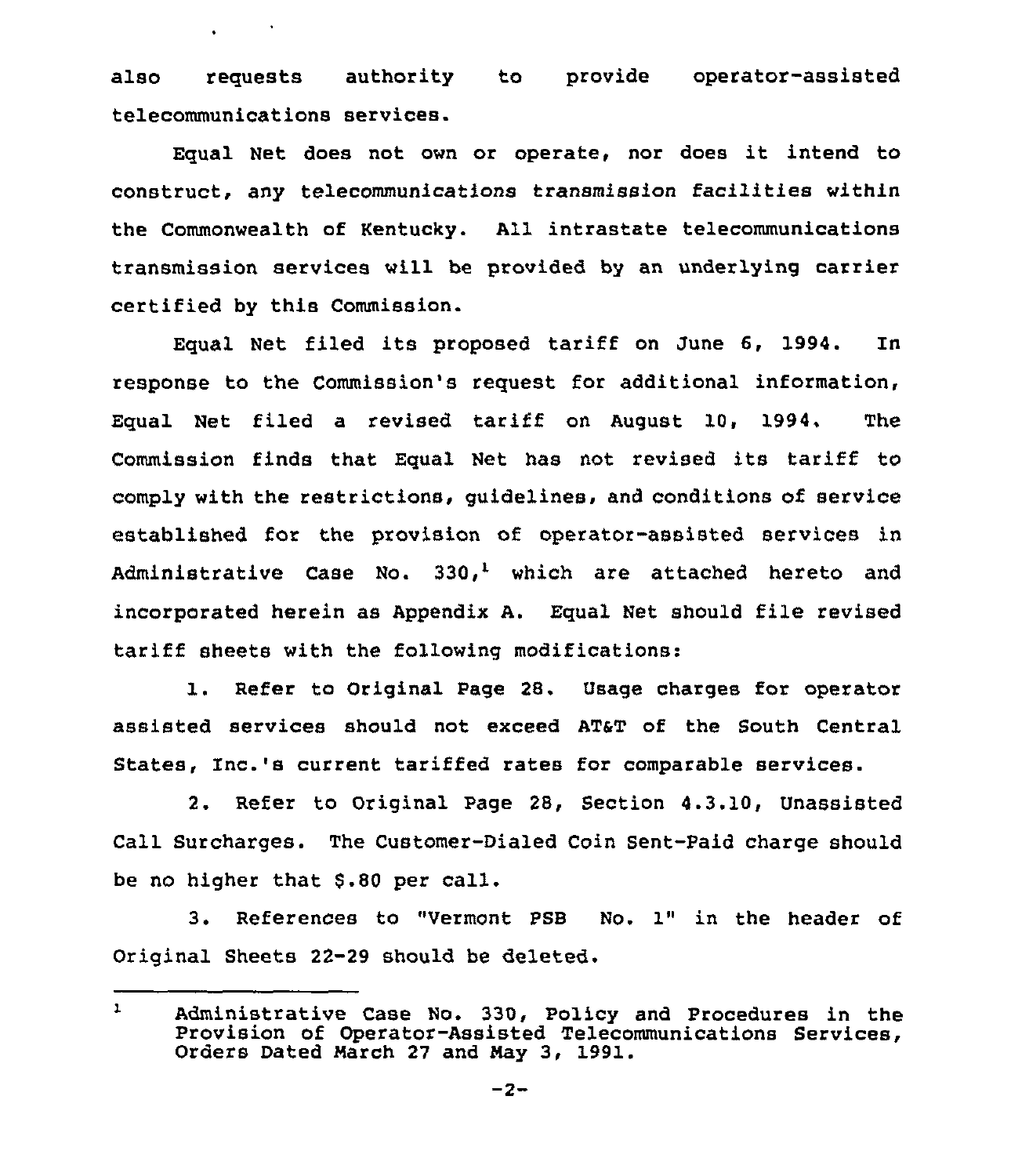also requests authority to provide operator-assisted telecommunications services.

Equal Net does not own or operate, nor does it intend to construct, any telecommunications transmission facilities within the Commonwealth of Kentucky. All intrastate telecommunications transmission services will be provided by an underlying carrier certified by this Commission.

Equal Net filed its proposed tariff on June 6, 1994. In response to the Commission's request for additional information, Equal Net filed <sup>a</sup> revised tariff on August 10, 1994. The Commission finds that Equal Net has not revised its tariff to comply with the restrictions, guidelines, and conditions of service established for the provision of operator-assisted services in Administrative Case No.  $330<sup>1</sup>$  which are attached hereto and incorporated herein as Appendix A. Equal Net should file revised tariff sheets with the following modifications:

1. Refer to Original Page 28. Usage charges for operator assisted services should not exceed AT&T of the South Central States, Inc.'s current tariffed rates for comparable services.

2. Refer to Original Page 28, Section 4.3.10, Unassisted Call Surcharges. The Customer-Dialed Coin Sent-Paid charge should be no higher that \$.80 per call.

3. References to "Vermont PSB No. 1" in the header of Original Sheets 22-29 should be deleted.

 $\mathbf{1}$ Administrative Case No. 330, Policy and Procedures in the Provision of Operator-Assisted Telecommunications Services, Orders Dated March 27 and May 3, 1991.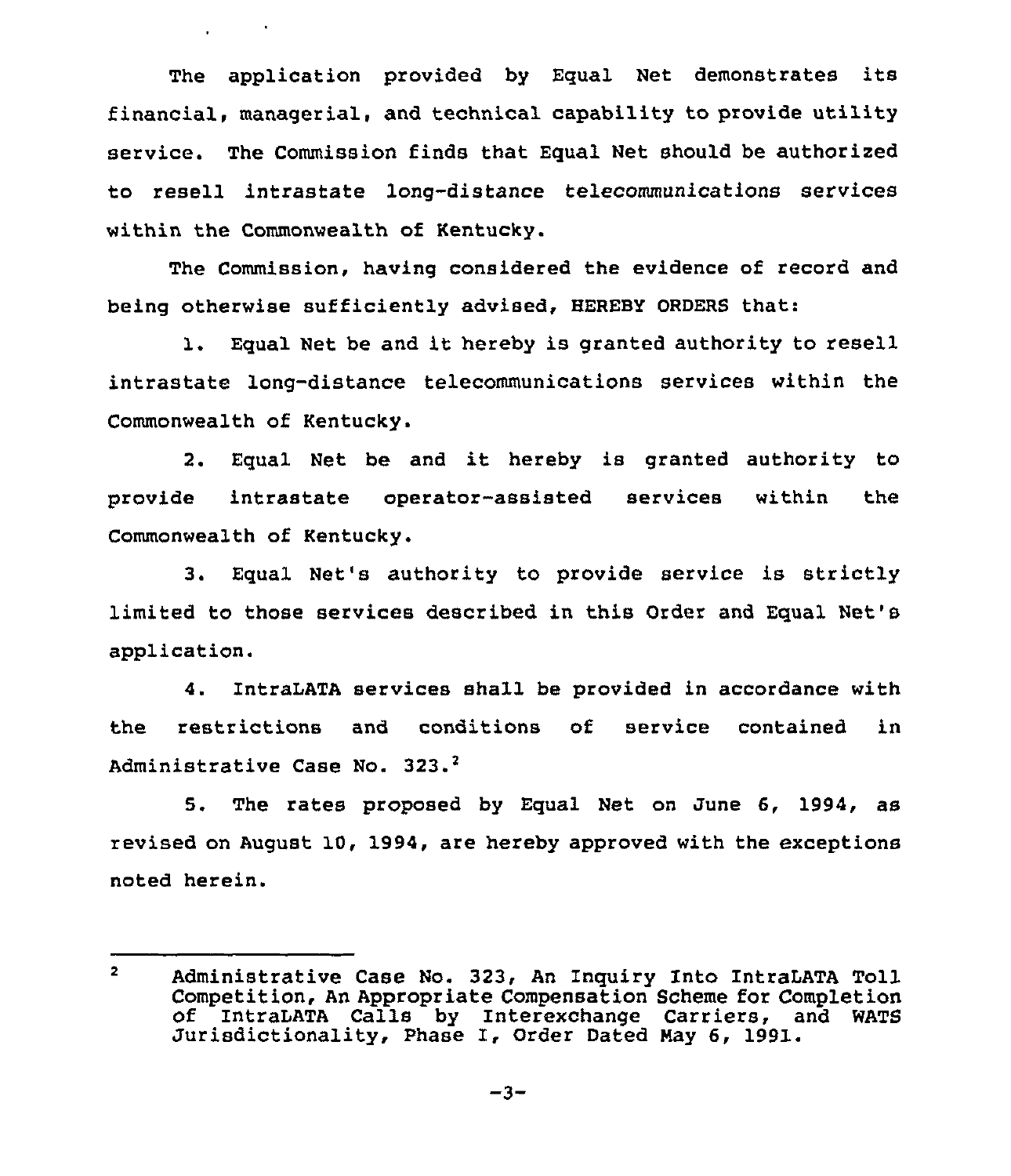The application provided by Egual Net demonstrates its financial, managerial, and technical capability to provide utility service. The Commission finds that Equal Net should be authorized to resell intrastate long-distance telecommunications services within the Commonwealth of Kentucky.

 $\mathbf{r}$  and  $\mathbf{r}$  and  $\mathbf{r}$ 

The Commission, having considered the evidence of record and being otherwise sufficiently advised, HEREBY ORDERS that:

l. Equal Net be and it hereby is granted authority to resell intrastate long-distance telecommunications services within the Commonwealth of Kentucky.

2. Egual Net be and it hereby is granted authority to provide intrastate operator-assisted services within the Commonwealth of Kentucky.

3. Equal Net's authority to provide service is strictly limited to those services described in this Order and Equal Net's application.

4. IntraLATA services shall be provided in accordance with the restrictions and conditions of service contained in Administrative Case No. 323.<sup>2</sup>

5. The rates proposed by Equal Net on June 6, 1994, as revised on August 10, 1994, are hereby approved with the exceptions noted herein.

 $2<sup>7</sup>$ Administrative Case No. 323, An Inquiry Into IntraLATA Toll Competition, An Appropriate Compensation Scheme for Completion of IntraLATA Calls by Interexchange Carriers, and WATS Jurisdictionality, Phase I, Order Dated Nay 6, 1991.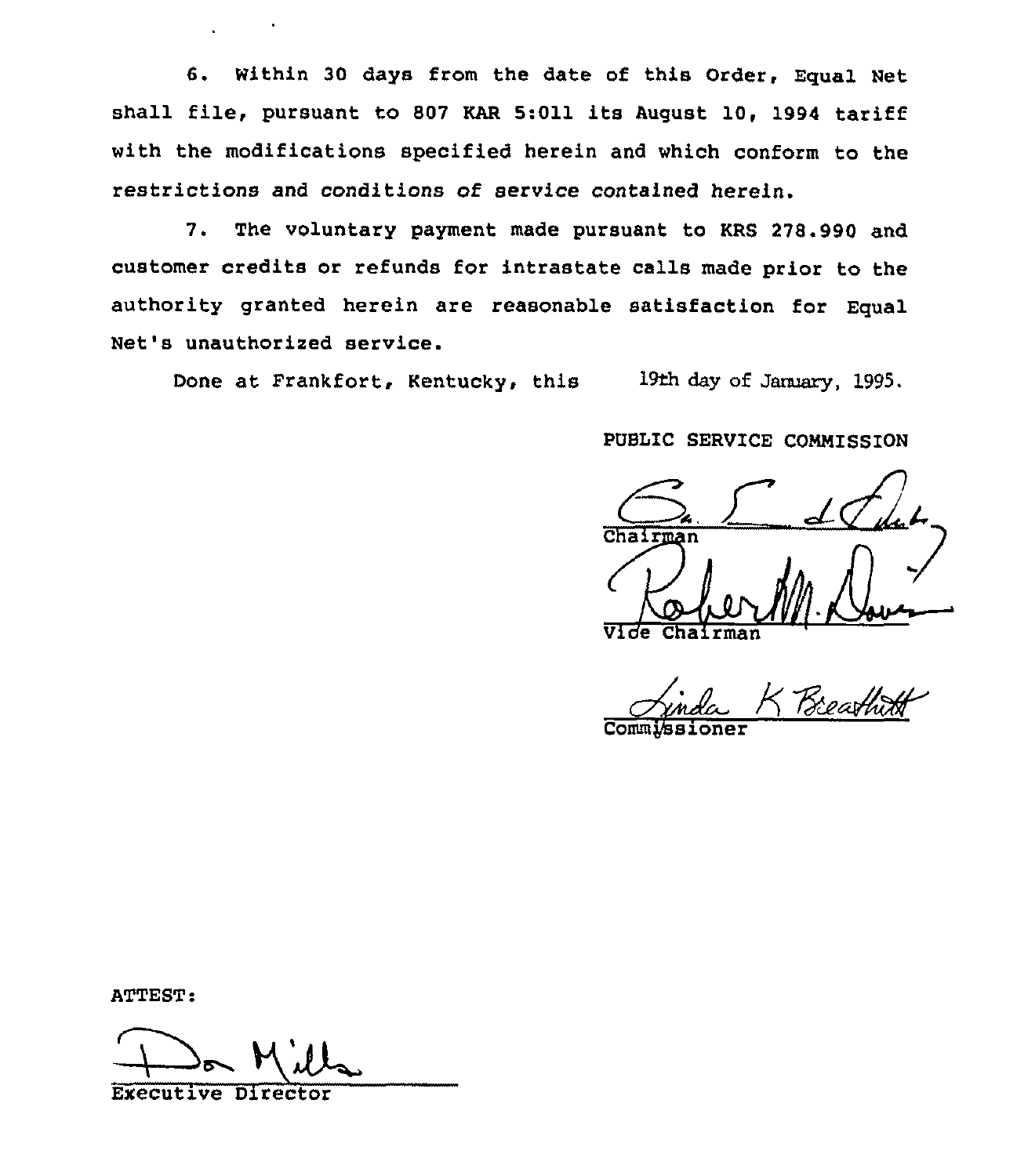6. Within 30 days from the date of this Order, Equal Net shall file, pursuant to S07 KAR 5:011 its August 10, 1994 tariff with the modifications specified herein and which conform to the restrictions and conditions of service contained herein.

7. The voluntary payment made pursuant to KRS 278.990 and customer credits or refunds for intrastate calls made prior to the authority granted herein are reasonable satisfaction for Equal Net's unauthorized service.

Done at Frankfort, Kentucky, this 19th day of January, 1995.

PUBLIC SERVICE COMMISSION

Chairman Vide Chairman

Commjssioner

ATTEST:

Executive Director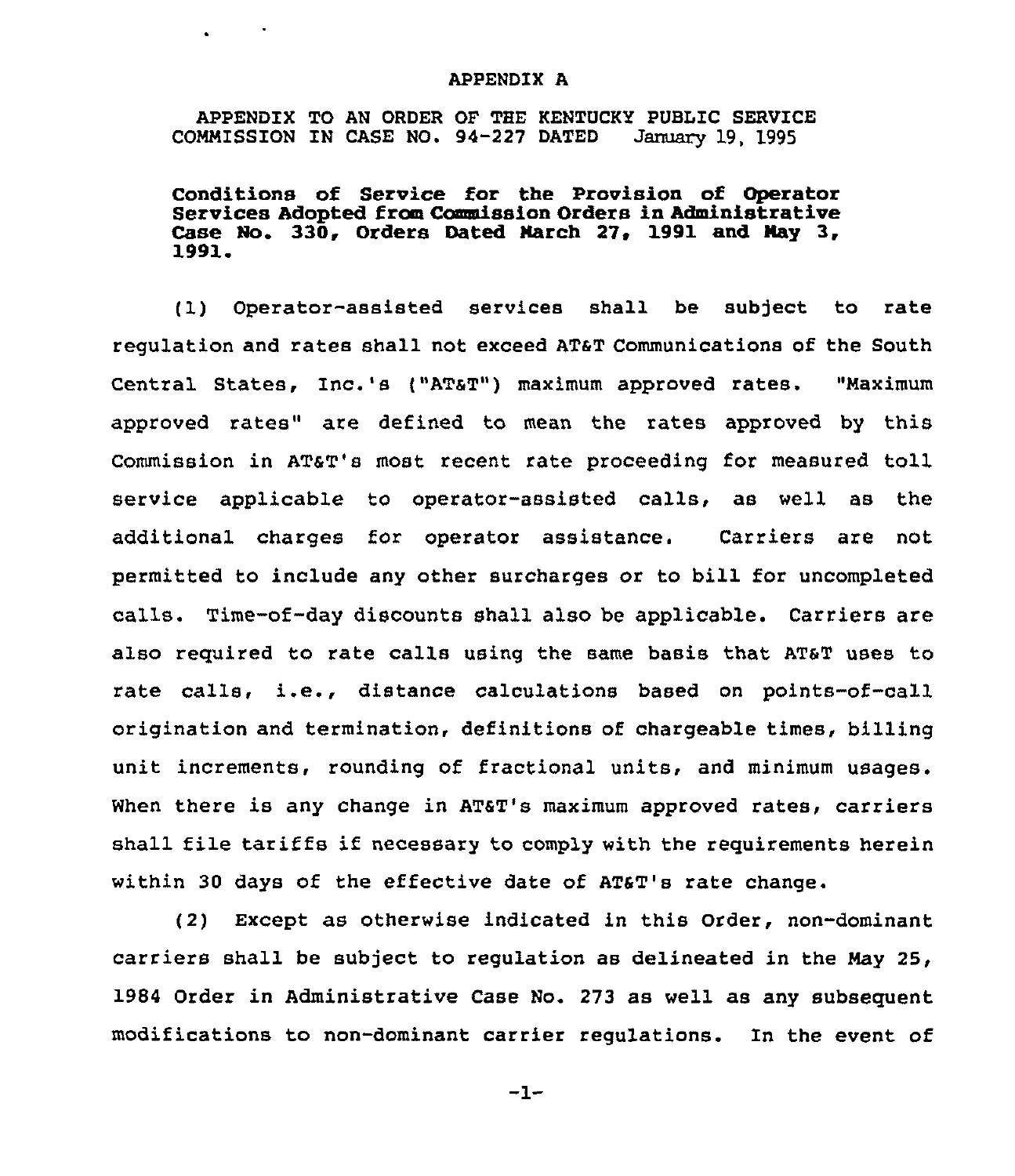## APPENDIX A

APPENDIX TO AN ORDER OF THE KENTUCKY PUBLIC SERVICE<br>MMISSION IN CASE NO. 94-227 DATED January 19, 1995 COMMISSION IN CASE NO. 94-227 DATED

 $\mathcal{L}_{\text{max}}$  ,  $\mathcal{L}_{\text{max}}$ 

Conditions of Service for the Provision of Operator Services Adopted from Commission Orders in Administrative Case No. 330, Orders Dated March 27, 1991 and May 3, 1991.

(1) Operator-assisted services shall be subject to rate requlation and rates shall not exceed AT&T Communications of the South Central States, Inc.'s ("AT&T") maximum approved rates. "Maximum approved rates" are defined to mean the rates approved by this Commission in AT&T's most recent rate proceeding for measured toll service applicable to operator-assisted calls, as well as the additional charges for operator assistance. Carriers are not permitted to include any other surcharges or to bill for uncompleted calls. Time-of-day discounts shall also be applicable. Carriers are also required to rate calls using the same basis that AT6T uses to rate calls, i.e., distance calculations based on points-of-call origination and termination, definitions of chargeable times, billing unit increments, rounding of fractional units, and minimum usages. When there is any change in AT&T's maximum approved rates, carriers shall file tariffs if necessary to comply with the requirements herein within 30 days of the effective date of AT&T's rate change.

(2) Except as otherwise indicated in this Order, non-dominant carriers shall be subject to regulation as delineated in the May 25, 1984 Order in Administrative Case No. 273 as well as any subsequent modifications to non-dominant carrier regulations. In the event of

 $-1-$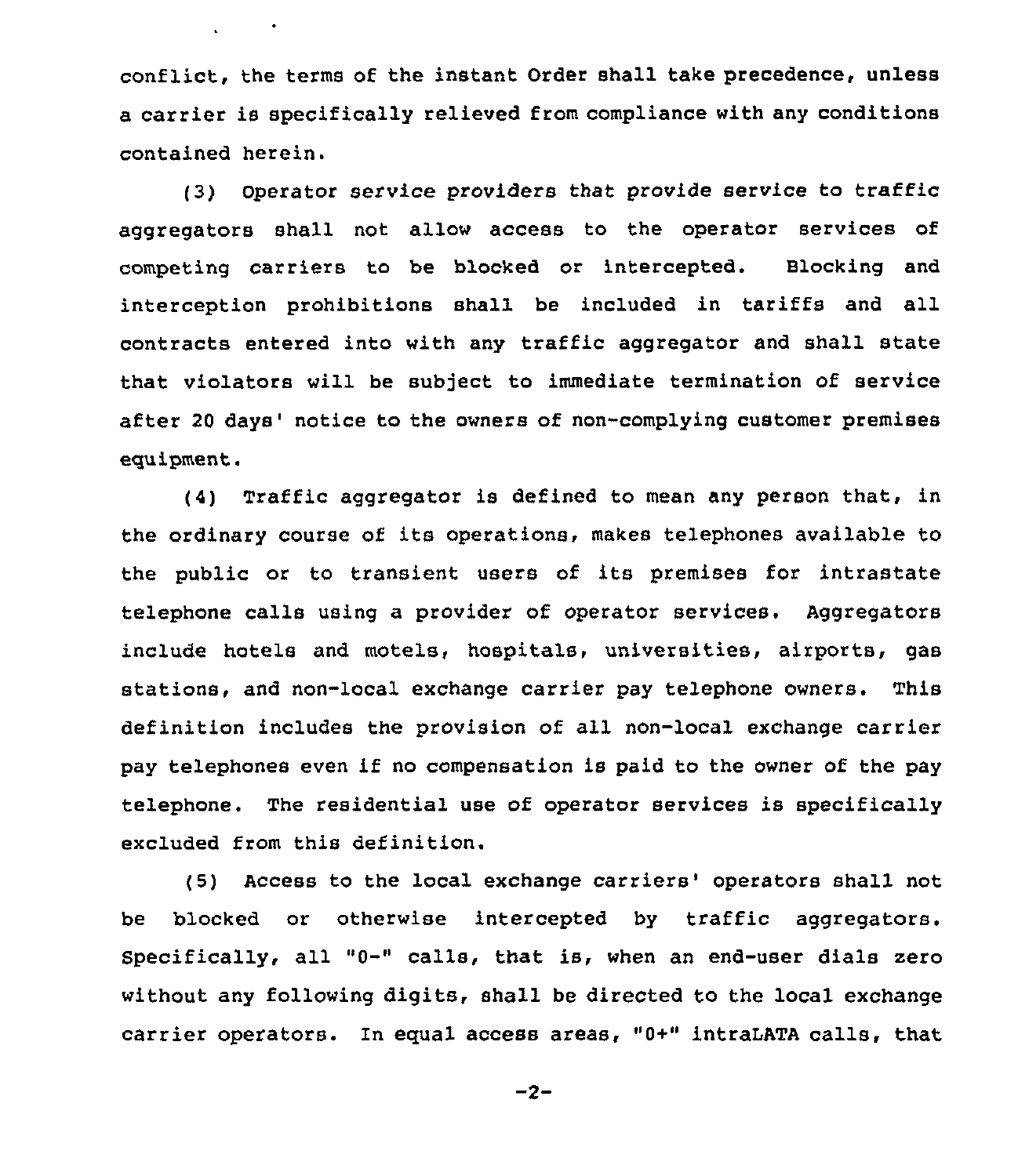conflict, the terms of the instant Order shall take precedence, unless a carrier is specifically relieved from compliance with any conditions contained herein.

 $\mathbf{L} = \mathbf{L} \cdot \mathbf{L}$ 

(3) Operator service providers that provide service to traffic aggregators shall not allow access to the operator services of competing carriers to be blocked or intercepted. Blocking and interception prohibitions shall be included in tariffs and all contracts entered into with any traffic aggregator and shall state that violators will be subject to immediate termination of service after 20 days' notice to the owners of non-complying customer premises equipment.

(4) Traffic aggregator is defined to mean any person that, in the ordinary course of its operations, makes telephones available to the public or to transient users of its premises for intrastate telephone calls using a provider of operator services. Aggregators include hotels and motels, hospitals, universities, airports, gas stations, and non-local exchange carrier pay telephone owners. This definition includes the provision of all non-local exchange carrier pay telephones even if no compensation is paid to the owner of the pay telephone. The residential use of operator services is specifically excluded from this definition.

(5) Access to the local exchange carriers' operators shall not be blocked or otherwise intercepted by traffic aggregators. Specifically, all "0-" calls, that is, when an end-user dials zero without any following digits, shall be directed to the local exchange carrier operators. In equal access areas, "0+" intraLATA calls, that

 $-2-$